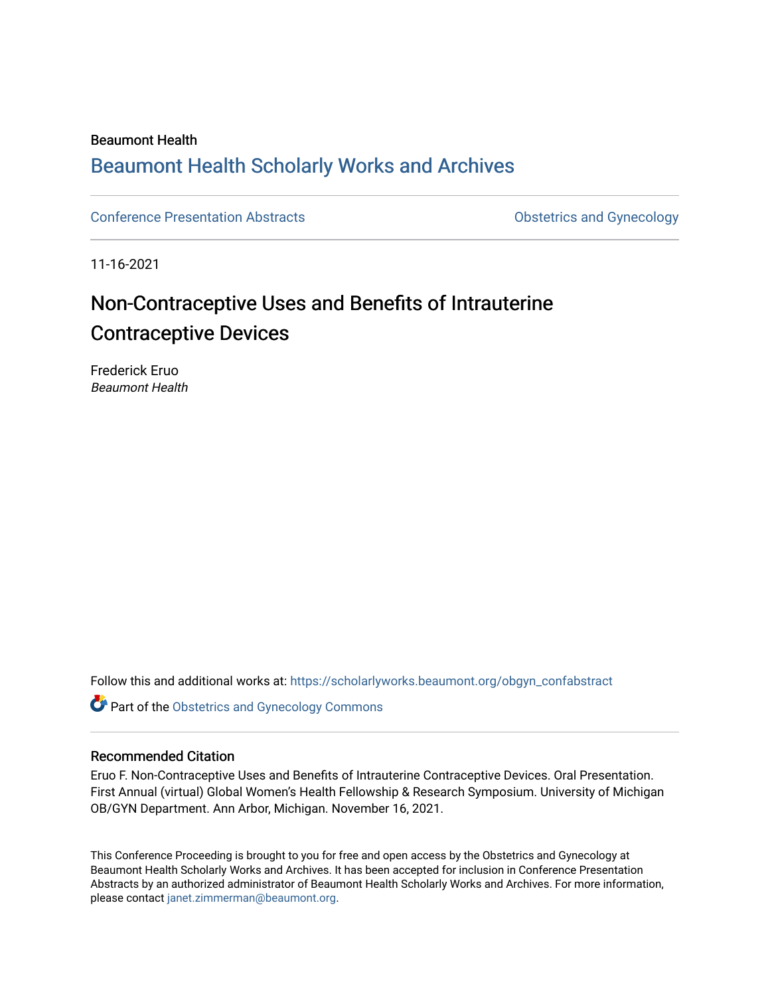### Beaumont Health [Beaumont Health Scholarly Works and Archives](https://scholarlyworks.beaumont.org/)

[Conference Presentation Abstracts](https://scholarlyworks.beaumont.org/obgyn_confabstract) **Conference Conference Presentation Abstracts Conference Conference** Presentation Abstracts

11-16-2021

## Non-Contraceptive Uses and Benefits of Intrauterine Contraceptive Devices

Frederick Eruo Beaumont Health

Follow this and additional works at: [https://scholarlyworks.beaumont.org/obgyn\\_confabstract](https://scholarlyworks.beaumont.org/obgyn_confabstract?utm_source=scholarlyworks.beaumont.org%2Fobgyn_confabstract%2F27&utm_medium=PDF&utm_campaign=PDFCoverPages)

Part of the [Obstetrics and Gynecology Commons](http://network.bepress.com/hgg/discipline/693?utm_source=scholarlyworks.beaumont.org%2Fobgyn_confabstract%2F27&utm_medium=PDF&utm_campaign=PDFCoverPages) 

### Recommended Citation

Eruo F. Non-Contraceptive Uses and Benefits of Intrauterine Contraceptive Devices. Oral Presentation. First Annual (virtual) Global Women's Health Fellowship & Research Symposium. University of Michigan OB/GYN Department. Ann Arbor, Michigan. November 16, 2021.

This Conference Proceeding is brought to you for free and open access by the Obstetrics and Gynecology at Beaumont Health Scholarly Works and Archives. It has been accepted for inclusion in Conference Presentation Abstracts by an authorized administrator of Beaumont Health Scholarly Works and Archives. For more information, please contact [janet.zimmerman@beaumont.org](mailto:janet.zimmerman@beaumont.org).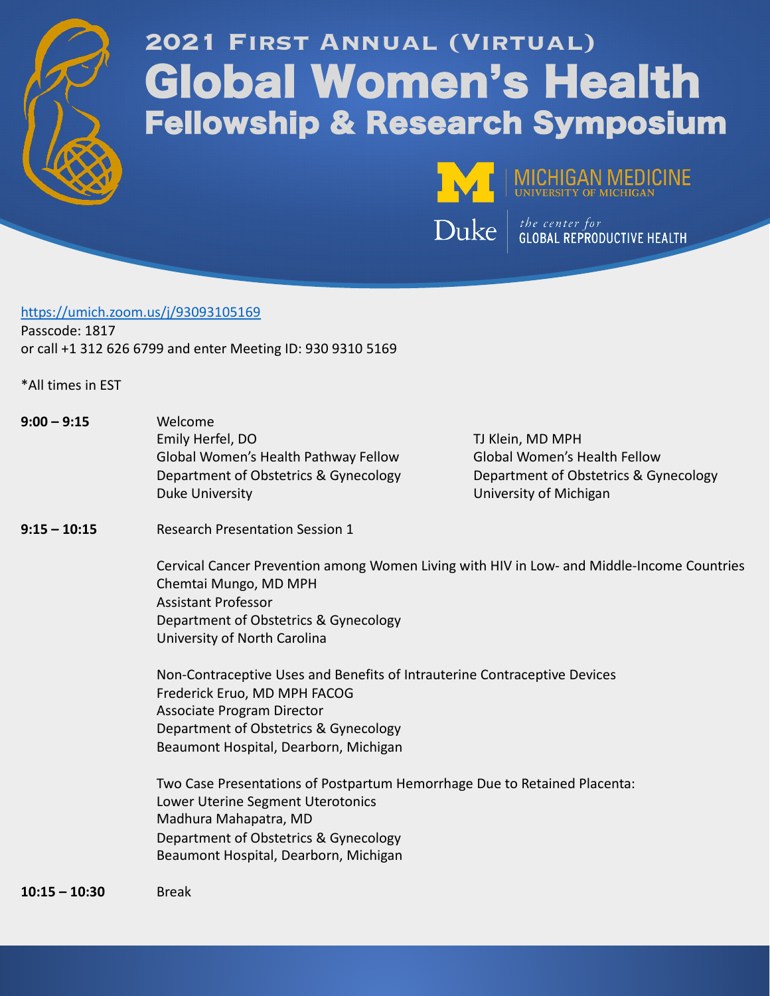

# **2021 First Annual (Virtual)** Global Women's Health Fellowship & Research Symposium



MICHIGAN MEDICINE

 $\mathbf{Duke}$   $\left| \begin{array}{l}$  the center for

### https://umich.zoom.us/j/93093105169 Passcode: 1817

or call +1 312 626 6799 and enter Meeting ID: 930 9310 5169

\*All times in EST

| $9:00 - 9:15$   | Welcome<br>Emily Herfel, DO<br>Global Women's Health Pathway Fellow<br>Department of Obstetrics & Gynecology<br><b>Duke University</b>                                                                                     | TJ Klein, MD MPH<br><b>Global Women's Health Fellow</b><br>Department of Obstetrics & Gynecology<br>University of Michigan |  |  |  |
|-----------------|----------------------------------------------------------------------------------------------------------------------------------------------------------------------------------------------------------------------------|----------------------------------------------------------------------------------------------------------------------------|--|--|--|
| $9:15 - 10:15$  | <b>Research Presentation Session 1</b>                                                                                                                                                                                     |                                                                                                                            |  |  |  |
|                 | Cervical Cancer Prevention among Women Living with HIV in Low- and Middle-Income Countries<br>Chemtai Mungo, MD MPH<br><b>Assistant Professor</b><br>Department of Obstetrics & Gynecology<br>University of North Carolina |                                                                                                                            |  |  |  |
|                 | Non-Contraceptive Uses and Benefits of Intrauterine Contraceptive Devices<br>Frederick Eruo, MD MPH FACOG<br>Associate Program Director<br>Department of Obstetrics & Gynecology<br>Beaumont Hospital, Dearborn, Michigan  |                                                                                                                            |  |  |  |
|                 | Two Case Presentations of Postpartum Hemorrhage Due to Retained Placenta:<br>Lower Uterine Segment Uterotonics<br>Madhura Mahapatra, MD<br>Department of Obstetrics & Gynecology<br>Beaumont Hospital, Dearborn, Michigan  |                                                                                                                            |  |  |  |
| $10:15 - 10:30$ | <b>Break</b>                                                                                                                                                                                                               |                                                                                                                            |  |  |  |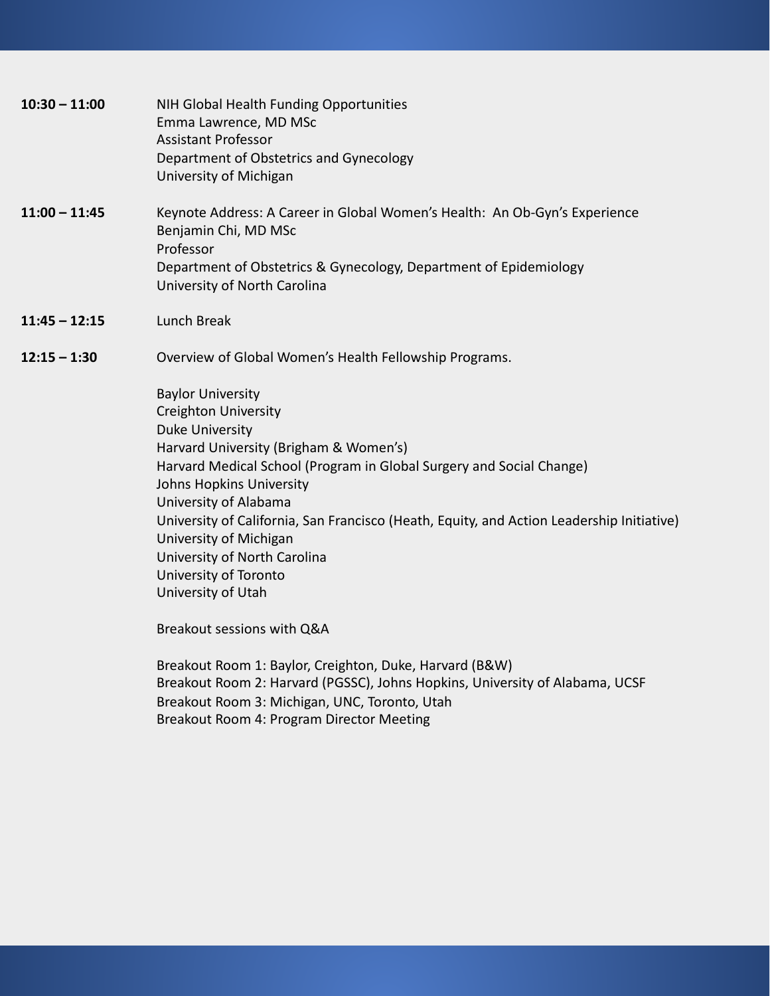| $10:30 - 11:00$ | NIH Global Health Funding Opportunities<br>Emma Lawrence, MD MSc<br><b>Assistant Professor</b><br>Department of Obstetrics and Gynecology<br>University of Michigan                                                                                                                                                                                                                                                                                            |
|-----------------|----------------------------------------------------------------------------------------------------------------------------------------------------------------------------------------------------------------------------------------------------------------------------------------------------------------------------------------------------------------------------------------------------------------------------------------------------------------|
| $11:00 - 11:45$ | Keynote Address: A Career in Global Women's Health: An Ob-Gyn's Experience<br>Benjamin Chi, MD MSc<br>Professor<br>Department of Obstetrics & Gynecology, Department of Epidemiology<br>University of North Carolina                                                                                                                                                                                                                                           |
| $11:45 - 12:15$ | Lunch Break                                                                                                                                                                                                                                                                                                                                                                                                                                                    |
| $12:15 - 1:30$  | Overview of Global Women's Health Fellowship Programs.                                                                                                                                                                                                                                                                                                                                                                                                         |
|                 | <b>Baylor University</b><br><b>Creighton University</b><br><b>Duke University</b><br>Harvard University (Brigham & Women's)<br>Harvard Medical School (Program in Global Surgery and Social Change)<br>Johns Hopkins University<br>University of Alabama<br>University of California, San Francisco (Heath, Equity, and Action Leadership Initiative)<br>University of Michigan<br>University of North Carolina<br>University of Toronto<br>University of Utah |
|                 | Breakout sessions with Q&A                                                                                                                                                                                                                                                                                                                                                                                                                                     |
|                 | Breakout Room 1: Baylor, Creighton, Duke, Harvard (B&W)<br>Breakout Room 2: Harvard (PGSSC), Johns Hopkins, University of Alabama, UCSF<br>Breakout Room 3: Michigan, UNC, Toronto, Utah<br>Breakout Room 4: Program Director Meeting                                                                                                                                                                                                                          |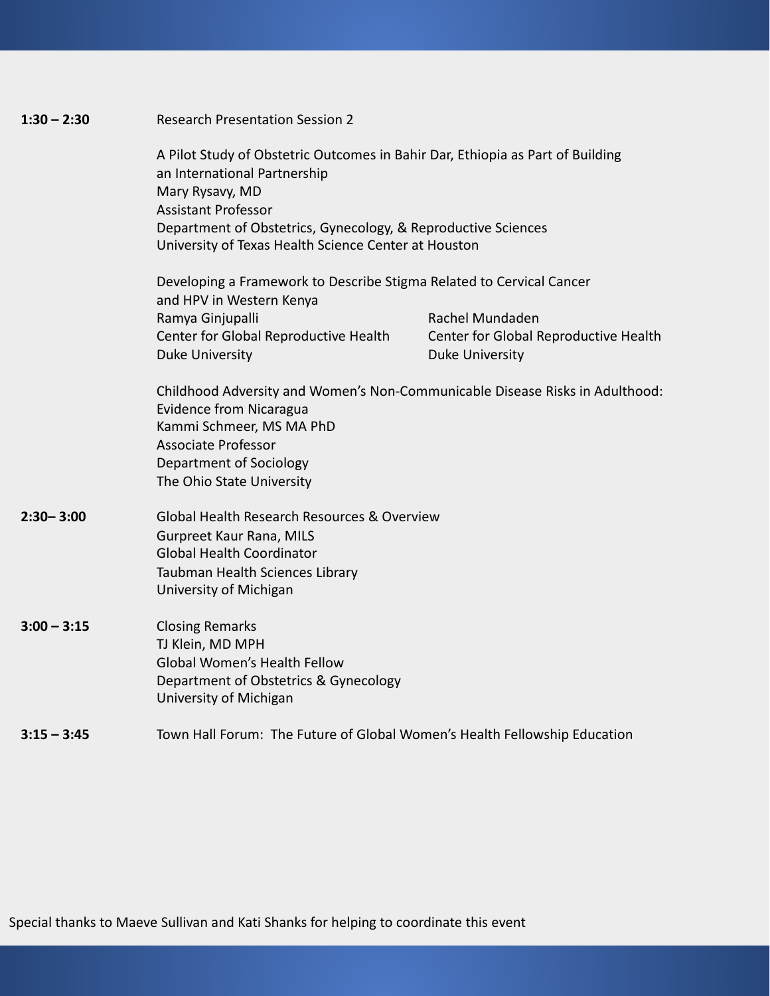| $1:30 - 2:30$ | <b>Research Presentation Session 2</b><br>A Pilot Study of Obstetric Outcomes in Bahir Dar, Ethiopia as Part of Building<br>an International Partnership<br>Mary Rysavy, MD<br><b>Assistant Professor</b><br>Department of Obstetrics, Gynecology, & Reproductive Sciences<br>University of Texas Health Science Center at Houston |                                       |  |  |
|---------------|------------------------------------------------------------------------------------------------------------------------------------------------------------------------------------------------------------------------------------------------------------------------------------------------------------------------------------|---------------------------------------|--|--|
|               |                                                                                                                                                                                                                                                                                                                                    |                                       |  |  |
|               | Developing a Framework to Describe Stigma Related to Cervical Cancer<br>and HPV in Western Kenya                                                                                                                                                                                                                                   |                                       |  |  |
|               | Ramya Ginjupalli                                                                                                                                                                                                                                                                                                                   | Rachel Mundaden                       |  |  |
|               | Center for Global Reproductive Health                                                                                                                                                                                                                                                                                              | Center for Global Reproductive Health |  |  |
|               | Duke University                                                                                                                                                                                                                                                                                                                    | <b>Duke University</b>                |  |  |
|               | Childhood Adversity and Women's Non-Communicable Disease Risks in Adulthood:<br><b>Evidence from Nicaragua</b><br>Kammi Schmeer, MS MA PhD<br><b>Associate Professor</b><br><b>Department of Sociology</b><br>The Ohio State University                                                                                            |                                       |  |  |
| $2:30 - 3:00$ | Global Health Research Resources & Overview<br>Gurpreet Kaur Rana, MILS<br><b>Global Health Coordinator</b><br>Taubman Health Sciences Library<br>University of Michigan                                                                                                                                                           |                                       |  |  |
| $3:00 - 3:15$ | <b>Closing Remarks</b><br>TJ Klein, MD MPH<br><b>Global Women's Health Fellow</b><br>Department of Obstetrics & Gynecology<br>University of Michigan                                                                                                                                                                               |                                       |  |  |
| $3:15 - 3:45$ | Town Hall Forum: The Future of Global Women's Health Fellowship Education                                                                                                                                                                                                                                                          |                                       |  |  |

Special thanks to Maeve Sullivan and Kati Shanks for helping to coordinate this event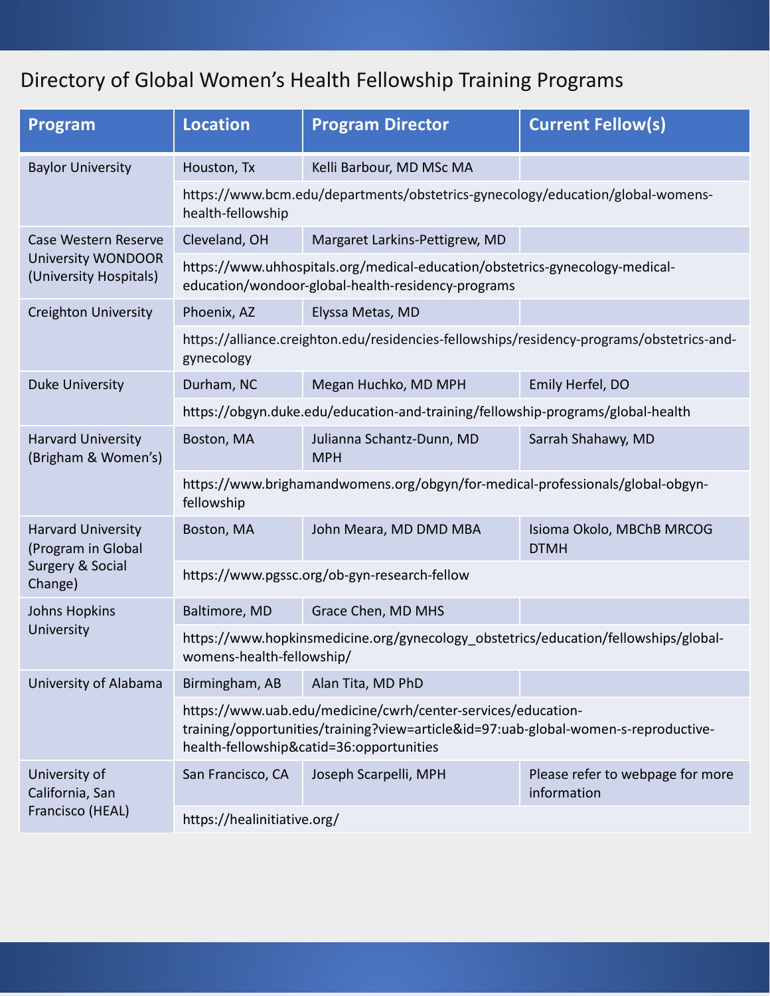## Directory of Global Women's Health Fellowship Training Programs

| <b>Program</b>                                                                 | <b>Location</b>                                                                                                                                                                                 | <b>Program Director</b>                 | <b>Current Fellow(s)</b>                        |
|--------------------------------------------------------------------------------|-------------------------------------------------------------------------------------------------------------------------------------------------------------------------------------------------|-----------------------------------------|-------------------------------------------------|
| <b>Baylor University</b>                                                       | Houston, Tx                                                                                                                                                                                     | Kelli Barbour, MD MSc MA                |                                                 |
|                                                                                | https://www.bcm.edu/departments/obstetrics-gynecology/education/global-womens-<br>health-fellowship                                                                                             |                                         |                                                 |
| Case Western Reserve<br><b>University WONDOOR</b><br>(University Hospitals)    | Cleveland, OH                                                                                                                                                                                   | Margaret Larkins-Pettigrew, MD          |                                                 |
|                                                                                | https://www.uhhospitals.org/medical-education/obstetrics-gynecology-medical-<br>education/wondoor-global-health-residency-programs                                                              |                                         |                                                 |
| <b>Creighton University</b>                                                    | Phoenix, AZ                                                                                                                                                                                     | Elyssa Metas, MD                        |                                                 |
|                                                                                | https://alliance.creighton.edu/residencies-fellowships/residency-programs/obstetrics-and-<br>gynecology                                                                                         |                                         |                                                 |
| <b>Duke University</b>                                                         | Durham, NC                                                                                                                                                                                      | Megan Huchko, MD MPH                    | Emily Herfel, DO                                |
|                                                                                | https://obgyn.duke.edu/education-and-training/fellowship-programs/global-health                                                                                                                 |                                         |                                                 |
| <b>Harvard University</b><br>(Brigham & Women's)                               | Boston, MA                                                                                                                                                                                      | Julianna Schantz-Dunn, MD<br><b>MPH</b> | Sarrah Shahawy, MD                              |
|                                                                                | https://www.brighamandwomens.org/obgyn/for-medical-professionals/global-obgyn-<br>fellowship                                                                                                    |                                         |                                                 |
| <b>Harvard University</b><br>(Program in Global<br>Surgery & Social<br>Change) | Boston, MA                                                                                                                                                                                      | John Meara, MD DMD MBA                  | Isioma Okolo, MBChB MRCOG<br><b>DTMH</b>        |
|                                                                                | https://www.pgssc.org/ob-gyn-research-fellow                                                                                                                                                    |                                         |                                                 |
| <b>Johns Hopkins</b><br>University                                             | Baltimore, MD                                                                                                                                                                                   | Grace Chen, MD MHS                      |                                                 |
|                                                                                | https://www.hopkinsmedicine.org/gynecology_obstetrics/education/fellowships/global-<br>womens-health-fellowship/                                                                                |                                         |                                                 |
| University of Alabama                                                          | Birmingham, AB                                                                                                                                                                                  | Alan Tita, MD PhD                       |                                                 |
|                                                                                | https://www.uab.edu/medicine/cwrh/center-services/education-<br>training/opportunities/training?view=article&id=97:uab-global-women-s-reproductive-<br>health-fellowship&catid=36:opportunities |                                         |                                                 |
| University of<br>California, San<br>Francisco (HEAL)                           | San Francisco, CA                                                                                                                                                                               | Joseph Scarpelli, MPH                   | Please refer to webpage for more<br>information |
|                                                                                | https://healinitiative.org/                                                                                                                                                                     |                                         |                                                 |